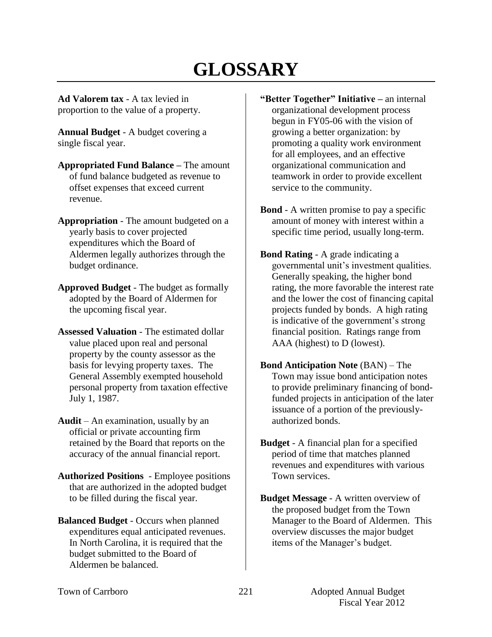# **GLOSSARY**

**Ad Valorem tax** - A tax levied in proportion to the value of a property.

**Annual Budget** - A budget covering a single fiscal year.

- **Appropriated Fund Balance –** The amount of fund balance budgeted as revenue to offset expenses that exceed current revenue.
- **Appropriation** The amount budgeted on a yearly basis to cover projected expenditures which the Board of Aldermen legally authorizes through the budget ordinance.
- **Approved Budget** The budget as formally adopted by the Board of Aldermen for the upcoming fiscal year.
- **Assessed Valuation** The estimated dollar value placed upon real and personal property by the county assessor as the basis for levying property taxes. The General Assembly exempted household personal property from taxation effective July 1, 1987.
- **Audit** An examination, usually by an official or private accounting firm retained by the Board that reports on the accuracy of the annual financial report.
- **Authorized Positions**  Employee positions that are authorized in the adopted budget to be filled during the fiscal year.
- **Balanced Budget** Occurs when planned expenditures equal anticipated revenues. In North Carolina, it is required that the budget submitted to the Board of Aldermen be balanced.
- **"Better Together" Initiative –** an internal organizational development process begun in FY05-06 with the vision of growing a better organization: by promoting a quality work environment for all employees, and an effective organizational communication and teamwork in order to provide excellent service to the community.
- **Bond** A written promise to pay a specific amount of money with interest within a specific time period, usually long-term.
- **Bond Rating** A grade indicating a governmental unit's investment qualities. Generally speaking, the higher bond rating, the more favorable the interest rate and the lower the cost of financing capital projects funded by bonds. A high rating is indicative of the government's strong financial position. Ratings range from AAA (highest) to D (lowest).
- **Bond Anticipation Note** (BAN) The Town may issue bond anticipation notes to provide preliminary financing of bondfunded projects in anticipation of the later issuance of a portion of the previouslyauthorized bonds.
- **Budget**  A financial plan for a specified period of time that matches planned revenues and expenditures with various Town services.
- **Budget Message** A written overview of the proposed budget from the Town Manager to the Board of Aldermen. This overview discusses the major budget items of the Manager's budget.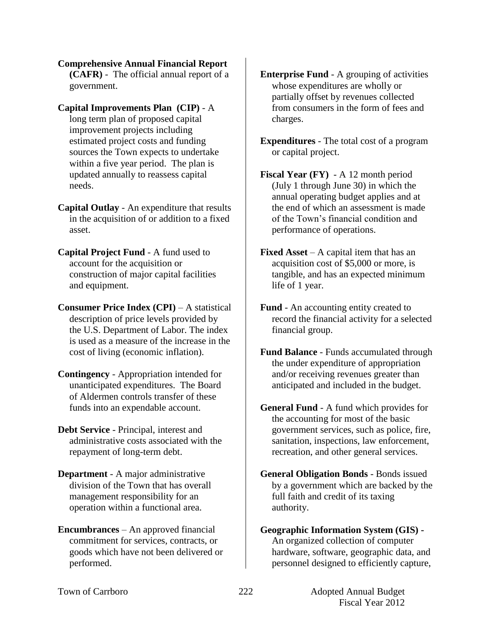**Comprehensive Annual Financial Report (CAFR)** - The official annual report of a government.

- **Capital Improvements Plan (CIP)** A long term plan of proposed capital improvement projects including estimated project costs and funding sources the Town expects to undertake within a five year period. The plan is updated annually to reassess capital needs.
- **Capital Outlay** An expenditure that results in the acquisition of or addition to a fixed asset.
- **Capital Project Fund** A fund used to account for the acquisition or construction of major capital facilities and equipment.
- **Consumer Price Index (CPI)** A statistical description of price levels provided by the U.S. Department of Labor. The index is used as a measure of the increase in the cost of living (economic inflation).
- **Contingency**  Appropriation intended for unanticipated expenditures. The Board of Aldermen controls transfer of these funds into an expendable account.
- **Debt Service** Principal, interest and administrative costs associated with the repayment of long-term debt.
- **Department**  A major administrative division of the Town that has overall management responsibility for an operation within a functional area.
- **Encumbrances**  An approved financial commitment for services, contracts, or goods which have not been delivered or performed.
- **Enterprise Fund** A grouping of activities whose expenditures are wholly or partially offset by revenues collected from consumers in the form of fees and charges.
- **Expenditures** The total cost of a program or capital project.
- **Fiscal Year (FY)**  A 12 month period (July 1 through June 30) in which the annual operating budget applies and at the end of which an assessment is made of the Town's financial condition and performance of operations.
- **Fixed Asset** A capital item that has an acquisition cost of \$5,000 or more, is tangible, and has an expected minimum life of 1 year.
- **Fund** An accounting entity created to record the financial activity for a selected financial group.
- **Fund Balance** Funds accumulated through the under expenditure of appropriation and/or receiving revenues greater than anticipated and included in the budget.
- **General Fund** A fund which provides for the accounting for most of the basic government services, such as police, fire, sanitation, inspections, law enforcement, recreation, and other general services.
- **General Obligation Bonds** Bonds issued by a government which are backed by the full faith and credit of its taxing authority.

## **Geographic Information System (GIS) -** An organized collection of computer hardware, software, geographic data, and personnel designed to efficiently capture,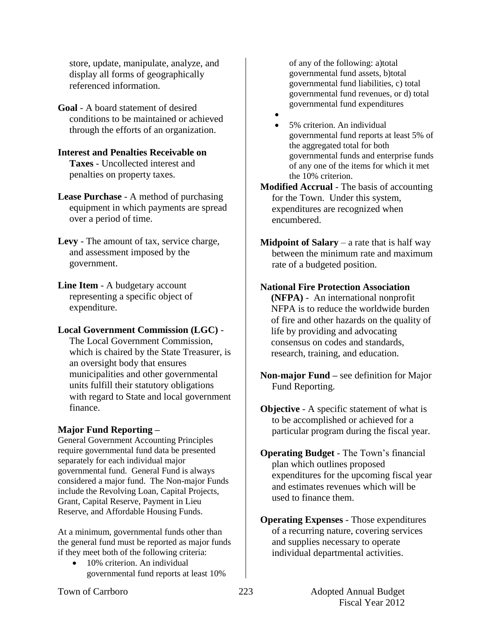store, update, manipulate, analyze, and display all forms of geographically referenced information.

**Goal** - A board statement of desired conditions to be maintained or achieved through the efforts of an organization.

#### **Interest and Penalties Receivable on Taxes** - Uncollected interest and penalties on property taxes.

**Lease Purchase** - A method of purchasing equipment in which payments are spread over a period of time.

**Levy** - The amount of tax, service charge, and assessment imposed by the government.

**Line Item** - A budgetary account representing a specific object of expenditure.

## **Local Government Commission (LGC)** -

The Local Government Commission, which is chaired by the State Treasurer, is an oversight body that ensures municipalities and other governmental units fulfill their statutory obligations with regard to State and local government finance.

# **Major Fund Reporting –**

General Government Accounting Principles require governmental fund data be presented separately for each individual major governmental fund. General Fund is always considered a major fund. The Non-major Funds include the Revolving Loan, Capital Projects, Grant, Capital Reserve, Payment in Lieu Reserve, and Affordable Housing Funds.

At a minimum, governmental funds other than the general fund must be reported as major funds if they meet both of the following criteria:

 10% criterion. An individual governmental fund reports at least 10% of any of the following: a)total governmental fund assets, b)total governmental fund liabilities, c) total governmental fund revenues, or d) total governmental fund expenditures

 $\bullet$  5% criterion. An individual governmental fund reports at least 5% of the aggregated total for both governmental funds and enterprise funds of any one of the items for which it met the 10% criterion.

**Modified Accrual** - The basis of accounting for the Town. Under this system, expenditures are recognized when encumbered.

**Midpoint of Salary** – a rate that is half way between the minimum rate and maximum rate of a budgeted position.

# **National Fire Protection Association**

**(NFPA)** - An international nonprofit NFPA is to reduce the worldwide burden of fire and other hazards on the quality of life by providing and advocating consensus on codes and standards, research, training, and education.

- **Non-major Fund –** see definition for Major Fund Reporting.
- **Objective** A specific statement of what is to be accomplished or achieved for a particular program during the fiscal year.
- **Operating Budget** The Town's financial plan which outlines proposed expenditures for the upcoming fiscal year and estimates revenues which will be used to finance them.

**Operating Expenses** - Those expenditures of a recurring nature, covering services and supplies necessary to operate individual departmental activities.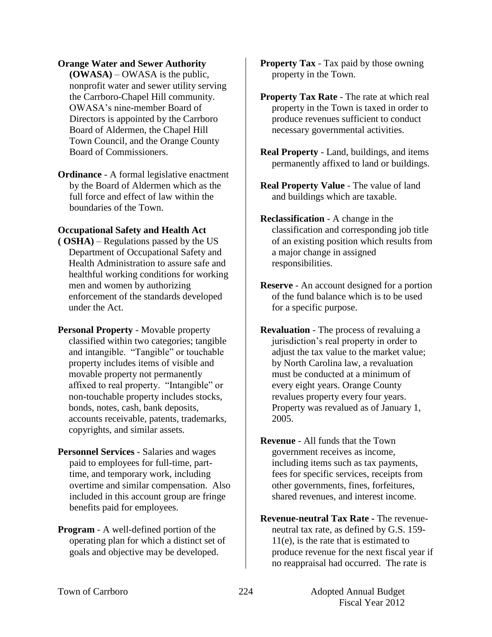#### **Orange Water and Sewer Authority**

**(OWASA)** – OWASA is the public, nonprofit water and sewer utility serving the Carrboro-Chapel Hill community. OWASA's nine-member Board of Directors is appointed by the Carrboro Board of Aldermen, the Chapel Hill Town Council, and the Orange County Board of Commissioners.

**Ordinance** - A formal legislative enactment by the Board of Aldermen which as the full force and effect of law within the boundaries of the Town.

### **Occupational Safety and Health Act**

**( OSHA)** – Regulations passed by the US Department of Occupational Safety and Health Administration to assure safe and healthful working conditions for working men and women by authorizing enforcement of the standards developed under the Act.

**Personal Property** - Movable property classified within two categories; tangible and intangible. "Tangible" or touchable property includes items of visible and movable property not permanently affixed to real property. "Intangible" or non-touchable property includes stocks, bonds, notes, cash, bank deposits, accounts receivable, patents, trademarks, copyrights, and similar assets.

- **Personnel Services** Salaries and wages paid to employees for full-time, parttime, and temporary work, including overtime and similar compensation. Also included in this account group are fringe benefits paid for employees.
- **Program** A well-defined portion of the operating plan for which a distinct set of goals and objective may be developed.

**Property Tax** - Tax paid by those owning property in the Town.

**Property Tax Rate** - The rate at which real property in the Town is taxed in order to produce revenues sufficient to conduct necessary governmental activities.

- **Real Property** Land, buildings, and items permanently affixed to land or buildings.
- **Real Property Value** The value of land and buildings which are taxable.
- **Reclassification** A change in the classification and corresponding job title of an existing position which results from a major change in assigned responsibilities.
- **Reserve** An account designed for a portion of the fund balance which is to be used for a specific purpose.

**Revaluation** - The process of revaluing a jurisdiction's real property in order to adjust the tax value to the market value; by North Carolina law, a revaluation must be conducted at a minimum of every eight years. Orange County revalues property every four years. Property was revalued as of January 1, 2005.

**Revenue** - All funds that the Town government receives as income, including items such as tax payments, fees for specific services, receipts from other governments, fines, forfeitures, shared revenues, and interest income.

**Revenue-neutral Tax Rate -** The revenueneutral tax rate, as defined by G.S. 159- 11(e), is the rate that is estimated to produce revenue for the next fiscal year if no reappraisal had occurred. The rate is